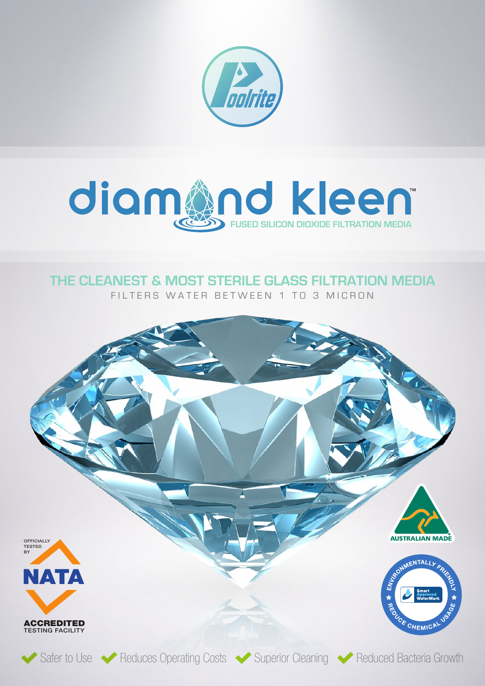



## **THE CLEANEST & MOST STERILE GLASS FILTRATION MEDIA**

FILTERS WATER BETWEEN 1 TO 3 MICRON